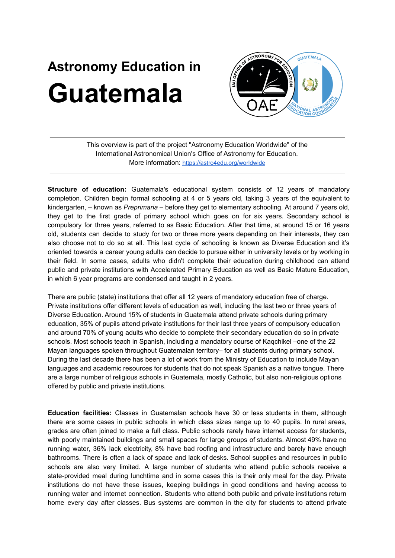## **Astronomy Education in Guatemala**



This overview is part of the project "Astronomy Education Worldwide" of the International Astronomical Union's Office of Astronomy for Education. More information: <https://astro4edu.org/worldwide>

**Structure of education:** Guatemala's educational system consists of 12 years of mandatory completion. Children begin formal schooling at 4 or 5 years old, taking 3 years of the equivalent to kindergarten, – known as *Preprimaria –* before they get to elementary schooling. At around 7 years old, they get to the first grade of primary school which goes on for six years. Secondary school is compulsory for three years, referred to as Basic Education. After that time, at around 15 or 16 years old, students can decide to study for two or three more years depending on their interests, they can also choose not to do so at all. This last cycle of schooling is known as Diverse Education and it's oriented towards a career young adults can decide to pursue either in university levels or by working in their field. In some cases, adults who didn't complete their education during childhood can attend public and private institutions with Accelerated Primary Education as well as Basic Mature Education, in which 6 year programs are condensed and taught in 2 years.

There are public (state) institutions that offer all 12 years of mandatory education free of charge. Private institutions offer different levels of education as well, including the last two or three years of Diverse Education. Around 15% of students in Guatemala attend private schools during primary education, 35% of pupils attend private institutions for their last three years of compulsory education and around 70% of young adults who decide to complete their secondary education do so in private schools. Most schools teach in Spanish, including a mandatory course of Kaqchikel –one of the 22 Mayan languages spoken throughout Guatemalan territory– for all students during primary school. During the last decade there has been a lot of work from the Ministry of Education to include Mayan languages and academic resources for students that do not speak Spanish as a native tongue. There are a large number of religious schools in Guatemala, mostly Catholic, but also non-religious options offered by public and private institutions.

**Education facilities:** Classes in Guatemalan schools have 30 or less students in them, although there are some cases in public schools in which class sizes range up to 40 pupils. In rural areas, grades are often joined to make a full class. Public schools rarely have internet access for students, with poorly maintained buildings and small spaces for large groups of students. Almost 49% have no running water, 36% lack electricity, 8% have bad roofing and infrastructure and barely have enough bathrooms. There is often a lack of space and lack of desks. School supplies and resources in public schools are also very limited. A large number of students who attend public schools receive a state-provided meal during lunchtime and in some cases this is their only meal for the day. Private institutions do not have these issues, keeping buildings in good conditions and having access to running water and internet connection. Students who attend both public and private institutions return home every day after classes. Bus systems are common in the city for students to attend private